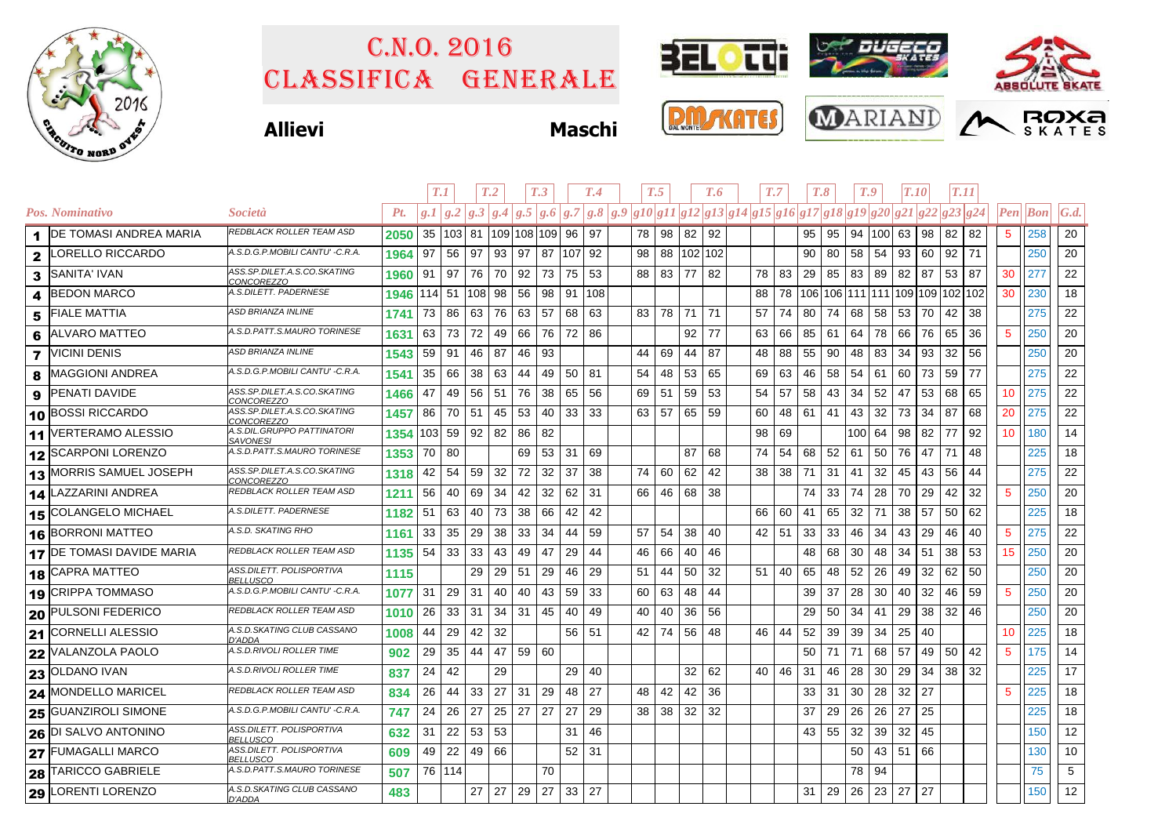

## Classifica generale C.n.o. 2016





**26** DI SALVO ANTONINO *ASS.DILETT. POLISPORTIVA* 632<br> **27** FUMAGALLI MARCO *ASS.DILETT. POLISPORTIVA* 609

LORENTI LORENZO **<sup>483</sup>** *A.S.D.SKATING CLUB CASSANO D'ADDA*

FUMAGALLI MARCO **ASS.DILETT. POLISPORTIVA** 609<br>TARICCO GABRIELE *A.S.D.PATT.S.MAURO TORINESE* 507

**Allievi Maschi**

| <b>MONTE</b><br>L<br><b>DA</b> |
|--------------------------------|
|--------------------------------|

31 | 22 | 53 | 53 | | | 31 | 46 | | | | | | | | | 43 | 55 | 32 | 39 | 32 | 45 | | | | | ||150 || 12

49 | 22 | 49 | 66 |  $\,$  |  $\,$  | 52 | 31 |  $\,$  |  $\,$  |  $\,$  |  $\,$  |  $\,$  |  $\,$  |  $\,$  |  $\,$  |  $\,$  |  $\,$  50 | 43 | 51 | 66 |  $\,$  |  $\,$  |  $\,$  |  $\,$  |  $\,$  | 130 | | 10

27 29 27 33 27 31 29 26 23 27 27 150 12





|                         |                            |                                                  |          | T.1     |           |          | T.2                        |               | T <sub>.3</sub> |     | T.4     | T.5 |      |       | T.6        |    | T.7 |    | T.8 |                                                                | T.9 |                 | <b>T.10</b> |    | <b>T.11</b>     |    |    |                 |                                 |                 |
|-------------------------|----------------------------|--------------------------------------------------|----------|---------|-----------|----------|----------------------------|---------------|-----------------|-----|---------|-----|------|-------|------------|----|-----|----|-----|----------------------------------------------------------------|-----|-----------------|-------------|----|-----------------|----|----|-----------------|---------------------------------|-----------------|
|                         | Pos. Nominativo            | <i>Società</i>                                   | Pt.      | g.I/g.2 |           | g.3      | $\left  g.4 \right\rangle$ | g.5 g.6       |                 | g.7 | g.8 g.9 |     |      |       |            |    |     |    |     | $ g10 g11 g12 g13 g14 g15 g16 g17 g18 g19 g20 g21 g22 g23 g24$ |     |                 |             |    |                 |    |    |                 | $\left  Pen \right $ <i>Bon</i> | $\mathcal{G}.d$ |
|                         | 1 DE TOMASI ANDREA MARIA   | REDBLACK ROLLER TEAM ASD                         | 2050     |         | 35 103 81 |          | 109 108 109  96            |               |                 |     | 97      |     |      | 78 98 | 82         | 92 |     |    |     | 95                                                             | 95  |                 | 94 100 63   |    | 98              | 82 | 82 | 5               | 258                             | 20              |
| 2                       | ORELLO RICCARDO            | A.S.D.G.P.MOBILI CANTU' -C.R.A.                  | 1964     | 97      | 56        | 97       | 93                         | 97            | 87              | 107 | 92      |     | 98   |       | 88 102 102 |    |     |    |     | 90                                                             | 80  | 58              | 54          | 93 | 60              | 92 | 71 |                 | 250                             | 20              |
| 3                       | <b>SANITA' IVAN</b>        | ASS.SP.DILET.A.S.CO.SKATING<br><b>CONCOREZZO</b> | 1960     | 91      | 97        | 76       | 70                         | 92            | 73              | 75  | 53      |     | 88   | 83    | 77         | 82 |     | 78 | 83  | 29                                                             | 85  | 83              | 89          | 82 | 87              | 53 | 87 | 30              | 277                             | 22              |
| 4                       | <b>BEDON MARCO</b>         | 4.S.DILETT. PADERNESE                            | 1946 114 |         | 51        | 108 98   |                            | 56            | 98              | 91  | 108     |     |      |       |            |    |     | 88 | 78  | 106 106 111 111 109 109 102 102                                |     |                 |             |    |                 |    |    | 30              | 230                             | 18              |
| 5                       | <b>FIALE MATTIA</b>        | ASD BRIANZA INLINE                               | 1741     | 73      | 86        | 63       | 76                         | 63            | 57              | 68  | 63      |     |      | 83 78 | 71         | 71 |     | 57 | 74  | 80                                                             | 74  | 68              | 58          | 53 | 70              | 42 | 38 |                 | 275                             | 22              |
| 6                       | <b>ALVARO MATTEO</b>       | A.S.D.PATT.S.MAURO TORINESE                      | 1631     | 63      | 73        | 72       | 49                         | 66            | 76              | 72  | 86      |     |      |       | 92         | 77 |     | 63 | 66  | 85                                                             | 61  | 64              | 78          | 66 | 76              | 65 | 36 | -5              | 250                             | 20              |
| $\overline{\mathbf{z}}$ | <b>VICINI DENIS</b>        | ASD BRIANZA INLINE                               | 1543     | 59      | 91        | 46       | 87                         | 46            | 93              |     |         |     | 44   | 69    | 44         | 87 |     | 48 | 88  | 55                                                             | 90  | 48              | 83          | 34 | 93              | 32 | 56 |                 | 250                             | 20              |
| 8                       | <b>MAGGIONI ANDREA</b>     | 4.S.D.G.P.MOBILI CANTU' - C.R.A.                 | 1541     | 35      | 66        | 38       | 63                         | 44            | 49              | 50  | 81      |     | 54   | 48    | 53         | 65 |     | 69 | 63  | 46                                                             | 58  | 54              | 61          | 60 | 73              | 59 | 77 |                 | 275                             | 22              |
| 9                       | <b>PENATI DAVIDE</b>       | 4SS.SP.DILET.A.S.CO.SKATING<br>CONCOREZZO        | 1466     | 47      | 49        | 56       | 51                         | 76            | 38              | 65  | 56      |     | 69   | 51    | 59         | 53 |     | 54 | 57  | 58                                                             | 43  | 34              | 52          | 47 | 53              | 68 | 65 | 10              | 275                             | 22              |
|                         | 10 BOSSI RICCARDO          | ASS.SP.DILET.A.S.CO.SKATING<br>CONCOREZZO        | 1457     | 86      | 70        | 51       | 45                         | 53            | 40              | 33  | 33      |     | 63   | 57    | 65         | 59 |     | 60 | 48  | 61                                                             | 41  | 43              | 32          | 73 | 34              | 87 | 68 | 20              | 275                             | 22              |
| 11                      | <b>VERTERAMO ALESSIO</b>   | <b>A.S.DIL.GRUPPO PATTINATORI</b><br>SAVONESI    | 1354 103 |         | 59        | 92       | 82                         | 86            | 82              |     |         |     |      |       |            |    |     | 98 | 69  |                                                                |     | 100 64          |             | 98 | 82              | 77 | 92 | 10              | 180                             | 14              |
|                         | 12 SCARPONI LORENZO        | 4.S.D.PATT.S.MAURO TORINESE                      | 1353 70  |         | 80        |          |                            | 69            | 53              | 31  | 69      |     |      |       | 87         | 68 |     | 74 | 54  | 68                                                             | 52  | 61              | 50          | 76 | 47              | 71 | 48 |                 | 225                             | 18              |
|                         | 13 MORRIS SAMUEL JOSEPH    | ASS.SP.DILET.A.S.CO.SKATING<br>CONCOREZZO        | 1318     | 42      | 54        | 59       | 32                         | 72            | 32              | 37  | 38      |     | 74   | 60    | 62         | 42 |     | 38 | 38  | 71                                                             | 31  | 41              | 32          | 45 | 43              | 56 | 44 |                 | 275                             | 22              |
|                         | 14 LAZZARINI ANDREA        | REDBLACK ROLLER TEAM ASD                         | 1211     | 56      | 40        | 69       | 34                         | 42            | 32              | 62  | 31      |     | 66 l | 46    | 68         | 38 |     |    |     | 74                                                             | 33  | 74              | 28          | 70 | 29              | 42 | 32 | -5              | 250                             | 20              |
|                         | 15 COLANGELO MICHAEL       | A.S.DILETT. PADERNESE                            | 1182     | 51      | 63        | 40       | 73                         | 38            | 66              | 42  | 42      |     |      |       |            |    |     | 66 | 60  | 41                                                             | 65  | 32 <sup>2</sup> | 71          | 38 | 57              | 50 | 62 |                 | 225                             | 18              |
|                         | 16 BORRONI MATTEO          | A.S.D. SKATING RHO                               | 1161     | 33      | 35        | 29       | 38                         | 33            | 34              | 44  | 59      |     | 57   | 54    | 38         | 40 |     | 42 | 51  | 33                                                             | 33  | 46              | 34          | 43 | 29              | 46 | 40 | $\sqrt{5}$      | 275                             | 22              |
|                         | 17 DE TOMASI DAVIDE MARIA  | REDBLACK ROLLER TEAM ASD                         | 1135     | 54      | 33        | 33       | 43                         | 49            | 47              | 29  | 44      |     | 46   | 66    | 40         | 46 |     |    |     | 48                                                             | 68  | 30              | 48          | 34 | 51              | 38 | 53 | 15              | 250                             | 20              |
|                         | 18 CAPRA MATTEO            | ASS.DILETT. POLISPORTIVA<br><b>BELLUSCO</b>      | 1115     |         |           | 29       | 29                         | 51            | 29              | 46  | 29      |     | 51   | 44    | 50         | 32 |     | 51 | 40  | 65                                                             | 48  | 52              | 26          | 49 | 32              | 62 | 50 |                 | 250                             | 20              |
|                         | 19 CRIPPA TOMMASO          | A.S.D.G.P.MOBILI CANTU' -C.R.A.                  | 1077     | 31      | 29        | 31       | 40                         | 40            | 43              | 59  | 33      |     | 60   | 63    | 48         | 44 |     |    |     | 39                                                             | 37  | 28              | 30          | 40 | 32              | 46 | 59 | 5               | 250                             | 20              |
|                         | <b>20 PULSONI FEDERICO</b> | REDBLACK ROLLER TEAM ASD                         | 1010     | 26      | 33        | 31       | 34                         | 31            | 45              | 40  | 49      |     | 40   | 40    | 36         | 56 |     |    |     | 29                                                             | 50  | 34              | 41          | 29 | 38              | 32 | 46 |                 | 250                             | 20              |
|                         | 21 CORNELLI ALESSIO        | A.S.D.SKATING CLUB CASSANO<br><b>D'ADDA</b>      | 1008     | 44      | 29        | 42       | 32                         |               |                 | 56  | 51      |     | 42   | 74    | 56         | 48 |     | 46 | 44  | 52                                                             | 39  | 39              | 34          | 25 | 40              |    |    | 10              | 225                             | 18              |
|                         | <b>22 VALANZOLA PAOLO</b>  | A.S.D.RIVOLI ROLLER TIME                         | 902      | 29      | 35        | 44       | 47                         | 59 60         |                 |     |         |     |      |       |            |    |     |    |     | 50                                                             | 71  | 71              | 68          | 57 | 49              | 50 | 42 | 5               | 175                             | 14              |
|                         | <b>23 OLDANO IVAN</b>      | A.S.D.RIVOLI ROLLER TIME                         | 837      | 24      | 42        |          | 29                         |               |                 | 29  | 40      |     |      |       | 32         | 62 |     | 40 | 46  | -31                                                            | 46  | 28              | 30          | 29 | 34 <sup>1</sup> | 38 | 32 |                 | 225                             | 17              |
|                         | 24 MONDELLO MARICEL        | <b>REDBLACK ROLLER TEAM ASD</b>                  | 834      | 26      |           | 44 33 27 |                            | $31 \quad 29$ |                 | 48  | 27      |     |      | 48 42 | 42         | 36 |     |    |     | $33-$                                                          | 31  |                 | 30 28       | 32 | 27              |    |    | $5\phantom{.0}$ | 225                             | 18              |

GUANZIROLI SIMONE **747** *A.S.D.G.P.MOBILI CANTU' -C.R.A.* 24 26 27 25 27 27 27 29 38 38 32 32 37 29 26 26 27 25 225 18

28 TARICCO GABRIELE A.S.*D.PATT.S.MAURO TORINESE* <mark>507</mark> 76 |114 | | |70 | | | | | | | | |78 |94 | | | | | |75 | 5